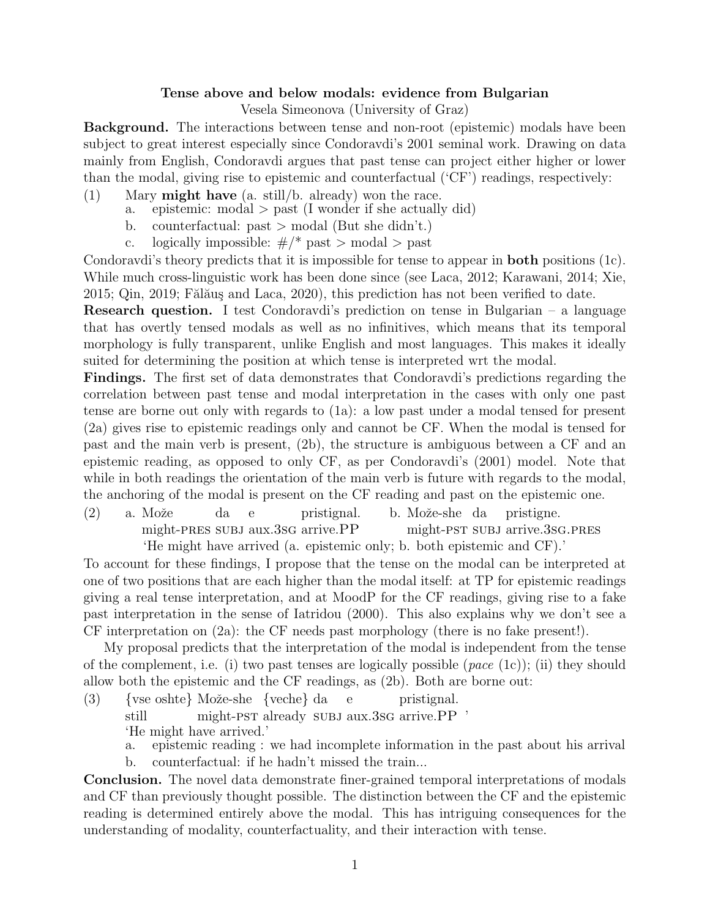## Tense above and below modals: evidence from Bulgarian

Vesela Simeonova (University of Graz)

Background. The interactions between tense and non-root (epistemic) modals have been subject to great interest especially since Condoravdi's 2001 seminal work. Drawing on data mainly from English, Condoravdi argues that past tense can project either higher or lower than the modal, giving rise to epistemic and counterfactual ('CF') readings, respectively:

- (1) Mary might have (a. still/b. already) won the race.
	- a. epistemic: modal > past (I wonder if she actually did)
	- b. counterfactual:  $past$  > modal (But she didn't.)
	- c. logically impossible:  $\#$ /\* past > modal > past

Condoravdi's theory predicts that it is impossible for tense to appear in both positions (1c). While much cross-linguistic work has been done since (see Laca, 2012; Karawani, 2014; Xie,  $2015$ ; Qin,  $2019$ ; Fălăuş and Laca,  $2020$ ), this prediction has not been verified to date.

**Research question.** I test Condoravdi's prediction on tense in Bulgarian – a language that has overtly tensed modals as well as no infinitives, which means that its temporal morphology is fully transparent, unlike English and most languages. This makes it ideally suited for determining the position at which tense is interpreted wrt the modal.

Findings. The first set of data demonstrates that Condoravdi's predictions regarding the correlation between past tense and modal interpretation in the cases with only one past tense are borne out only with regards to (1a): a low past under a modal tensed for present (2a) gives rise to epistemic readings only and cannot be CF. When the modal is tensed for past and the main verb is present, (2b), the structure is ambiguous between a CF and an epistemic reading, as opposed to only CF, as per Condoravdi's (2001) model. Note that while in both readings the orientation of the main verb is future with regards to the modal, the anchoring of the modal is present on the CF reading and past on the epistemic one.

 $(2)$  a. Može might-pres subj aux.3sg arrive.PP da e pristignal. b. Može-she da might-pst subj arrive.3sg.pres pristigne.

'He might have arrived (a. epistemic only; b. both epistemic and CF).'

To account for these findings, I propose that the tense on the modal can be interpreted at one of two positions that are each higher than the modal itself: at TP for epistemic readings giving a real tense interpretation, and at MoodP for the CF readings, giving rise to a fake past interpretation in the sense of Iatridou (2000). This also explains why we don't see a CF interpretation on (2a): the CF needs past morphology (there is no fake present!).

My proposal predicts that the interpretation of the modal is independent from the tense of the complement, i.e. (i) two past tenses are logically possible (*pace* (1c)); (ii) they should allow both the epistemic and the CF readings, as (2b). Both are borne out:

- (3) {vse oshte} Može-she {veche} da still might-PST already SUBJ aux.3sG arrive.PP ' e pristignal. 'He might have arrived.'
	- a. epistemic reading : we had incomplete information in the past about his arrival
	- b. counterfactual: if he hadn't missed the train...

Conclusion. The novel data demonstrate finer-grained temporal interpretations of modals and CF than previously thought possible. The distinction between the CF and the epistemic reading is determined entirely above the modal. This has intriguing consequences for the understanding of modality, counterfactuality, and their interaction with tense.